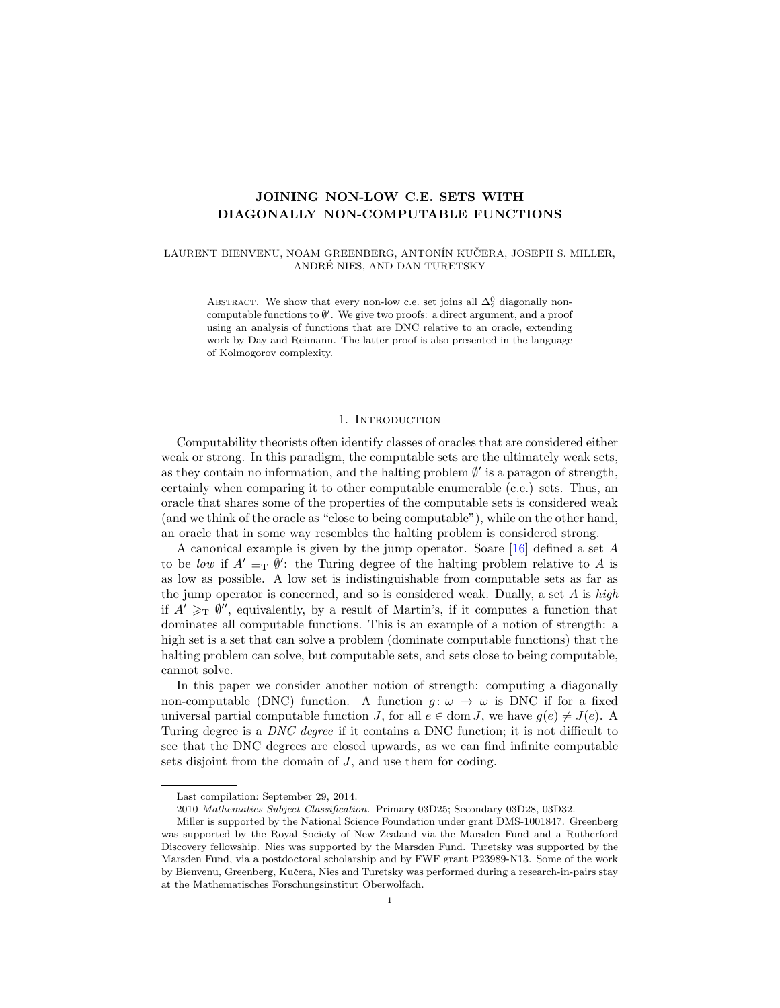## <span id="page-0-0"></span>JOINING NON-LOW C.E. SETS WITH DIAGONALLY NON-COMPUTABLE FUNCTIONS

## LAURENT BIENVENU, NOAM GREENBERG, ANTONÍN KUČERA, JOSEPH S. MILLER, ANDRE NIES, AND DAN TURETSKY ´

ABSTRACT. We show that every non-low c.e. set joins all  $\Delta^0_2$  diagonally noncomputable functions to  $\emptyset'$ . We give two proofs: a direct argument, and a proof using an analysis of functions that are DNC relative to an oracle, extending work by Day and Reimann. The latter proof is also presented in the language of Kolmogorov complexity.

## 1. INTRODUCTION

Computability theorists often identify classes of oracles that are considered either weak or strong. In this paradigm, the computable sets are the ultimately weak sets, as they contain no information, and the halting problem  $\emptyset'$  is a paragon of strength, certainly when comparing it to other computable enumerable (c.e.) sets. Thus, an oracle that shares some of the properties of the computable sets is considered weak (and we think of the oracle as "close to being computable"), while on the other hand, an oracle that in some way resembles the halting problem is considered strong.

A canonical example is given by the jump operator. Soare [\[16\]](#page-11-0) defined a set A to be low if  $A' \equiv_T \emptyset'$ : the Turing degree of the halting problem relative to A is as low as possible. A low set is indistinguishable from computable sets as far as the jump operator is concerned, and so is considered weak. Dually, a set  $A$  is high if  $A' \geq_T \emptyset''$ , equivalently, by a result of Martin's, if it computes a function that dominates all computable functions. This is an example of a notion of strength: a high set is a set that can solve a problem (dominate computable functions) that the halting problem can solve, but computable sets, and sets close to being computable, cannot solve.

In this paper we consider another notion of strength: computing a diagonally non-computable (DNC) function. A function  $g: \omega \to \omega$  is DNC if for a fixed universal partial computable function J, for all  $e \in \text{dom } J$ , we have  $q(e) \neq J(e)$ . A Turing degree is a DNC degree if it contains a DNC function; it is not difficult to see that the DNC degrees are closed upwards, as we can find infinite computable sets disjoint from the domain of  $J$ , and use them for coding.

Last compilation: September 29, 2014.

<sup>2010</sup> Mathematics Subject Classification. Primary 03D25; Secondary 03D28, 03D32.

Miller is supported by the National Science Foundation under grant DMS-1001847. Greenberg was supported by the Royal Society of New Zealand via the Marsden Fund and a Rutherford Discovery fellowship. Nies was supported by the Marsden Fund. Turetsky was supported by the Marsden Fund, via a postdoctoral scholarship and by FWF grant P23989-N13. Some of the work by Bienvenu, Greenberg, Kučera, Nies and Turetsky was performed during a research-in-pairs stay at the Mathematisches Forschungsinstitut Oberwolfach.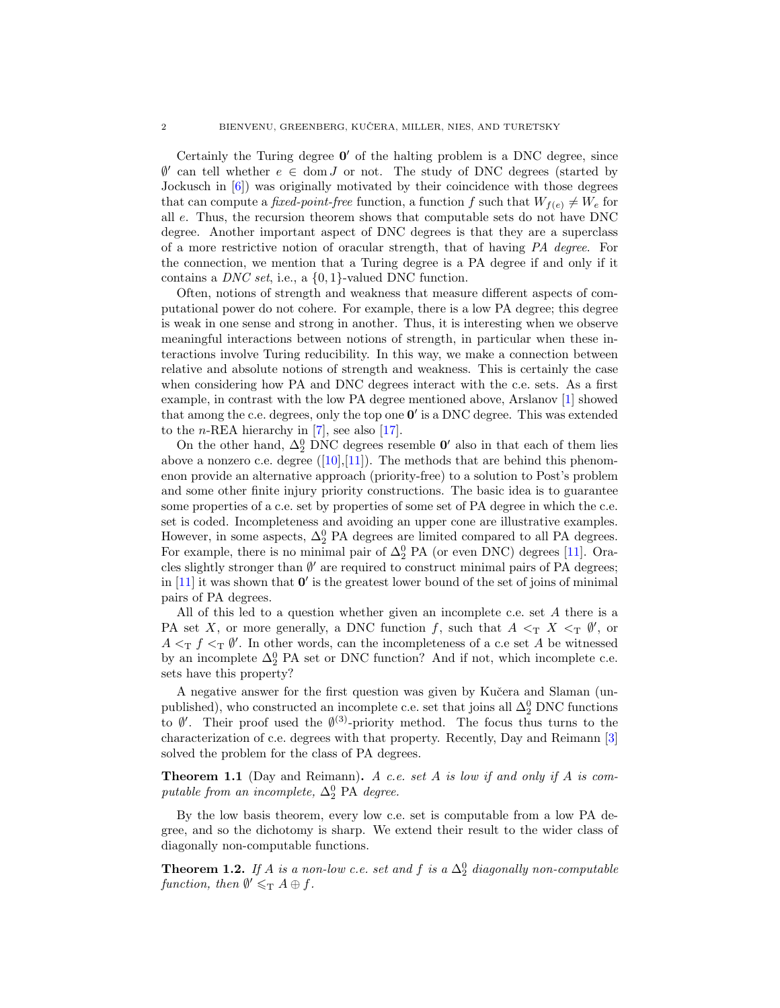<span id="page-1-2"></span>Certainly the Turing degree  $0'$  of the halting problem is a DNC degree, since  $\emptyset'$  can tell whether  $e \in \text{dom } J$  or not. The study of DNC degrees (started by Jockusch in [\[6\]](#page-10-0)) was originally motivated by their coincidence with those degrees that can compute a *fixed-point-free* function, a function f such that  $W_{f(e)} \neq W_e$  for all e. Thus, the recursion theorem shows that computable sets do not have DNC degree. Another important aspect of DNC degrees is that they are a superclass of a more restrictive notion of oracular strength, that of having PA degree. For the connection, we mention that a Turing degree is a PA degree if and only if it contains a *DNC set*, i.e., a  $\{0, 1\}$ -valued DNC function.

Often, notions of strength and weakness that measure different aspects of computational power do not cohere. For example, there is a low PA degree; this degree is weak in one sense and strong in another. Thus, it is interesting when we observe meaningful interactions between notions of strength, in particular when these interactions involve Turing reducibility. In this way, we make a connection between relative and absolute notions of strength and weakness. This is certainly the case when considering how PA and DNC degrees interact with the c.e. sets. As a first example, in contrast with the low PA degree mentioned above, Arslanov [\[1\]](#page-10-1) showed that among the c.e. degrees, only the top one  $0'$  is a DNC degree. This was extended to the *n*-REA hierarchy in  $[7]$ , see also  $[17]$ .

On the other hand,  $\Delta_2^0$  DNC degrees resemble  $\mathbf{0}'$  also in that each of them lies above a nonzero c.e. degree  $([10],[11])$  $([10],[11])$  $([10],[11])$  $([10],[11])$  $([10],[11])$ . The methods that are behind this phenomenon provide an alternative approach (priority-free) to a solution to Post's problem and some other finite injury priority constructions. The basic idea is to guarantee some properties of a c.e. set by properties of some set of PA degree in which the c.e. set is coded. Incompleteness and avoiding an upper cone are illustrative examples. However, in some aspects,  $\Delta_2^0$  PA degrees are limited compared to all PA degrees. For example, there is no minimal pair of  $\Delta_2^0$  PA (or even DNC) degrees [\[11\]](#page-10-4). Oracles slightly stronger than  $\emptyset'$  are required to construct minimal pairs of PA degrees; in  $[11]$  it was shown that  $\mathbf{0}'$  is the greatest lower bound of the set of joins of minimal pairs of PA degrees.

All of this led to a question whether given an incomplete c.e. set A there is a PA set X, or more generally, a DNC function f, such that  $A \leq_T X \leq_T \emptyset'$ , or  $A \leq_T f \leq_T \emptyset'$ . In other words, can the incompleteness of a c.e set A be witnessed by an incomplete  $\Delta_2^0$  PA set or DNC function? And if not, which incomplete c.e. sets have this property?

A negative answer for the first question was given by Kučera and Slaman (unpublished), who constructed an incomplete c.e. set that joins all  $\Delta^0_2$  DNC functions to  $\emptyset'$ . Their proof used the  $\emptyset^{(3)}$ -priority method. The focus thus turns to the characterization of c.e. degrees with that property. Recently, Day and Reimann [\[3\]](#page-10-5) solved the problem for the class of PA degrees.

<span id="page-1-1"></span>Theorem 1.1 (Day and Reimann). A c.e. set A is low if and only if A is computable from an incomplete,  $\Delta_2^0$  PA degree.

By the low basis theorem, every low c.e. set is computable from a low PA degree, and so the dichotomy is sharp. We extend their result to the wider class of diagonally non-computable functions.

<span id="page-1-0"></span>**Theorem 1.2.** If A is a non-low c.e. set and f is a  $\Delta_2^0$  diagonally non-computable function, then  $\emptyset' \leqslant_{\mathrm{T}} A \oplus f$ .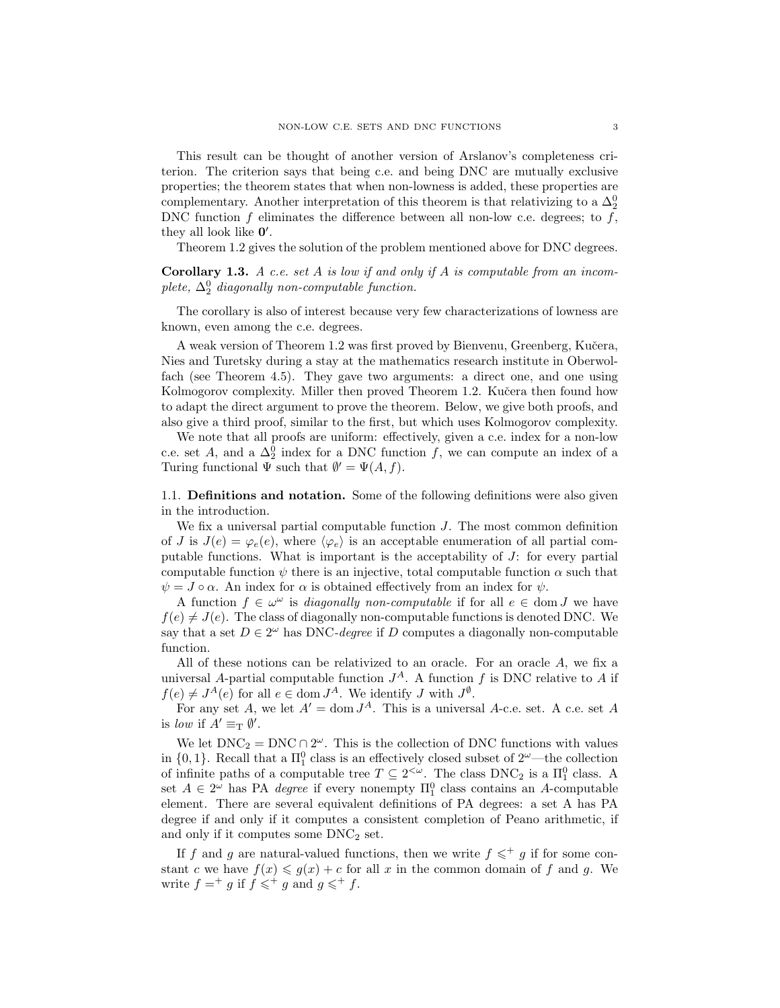This result can be thought of another version of Arslanov's completeness criterion. The criterion says that being c.e. and being DNC are mutually exclusive properties; the theorem states that when non-lowness is added, these properties are complementary. Another interpretation of this theorem is that relativizing to a  $\Delta_2^0$ DNC function  $f$  eliminates the difference between all non-low c.e. degrees; to  $f$ , they all look like  $0'$ .

Theorem [1.2](#page-1-0) gives the solution of the problem mentioned above for DNC degrees.

**Corollary 1.3.** A c.e. set A is low if and only if A is computable from an incomplete,  $\Delta_2^0$  diagonally non-computable function.

The corollary is also of interest because very few characterizations of lowness are known, even among the c.e. degrees.

A weak version of Theorem [1.2](#page-1-0) was first proved by Bienvenu, Greenberg, Kučera, Nies and Turetsky during a stay at the mathematics research institute in Oberwolfach (see Theorem [4.5\)](#page-10-6). They gave two arguments: a direct one, and one using Kolmogorov complexity. Miller then proved Theorem [1.2.](#page-1-0) Kučera then found how to adapt the direct argument to prove the theorem. Below, we give both proofs, and also give a third proof, similar to the first, but which uses Kolmogorov complexity.

We note that all proofs are uniform: effectively, given a c.e. index for a non-low c.e. set A, and a  $\Delta_2^0$  index for a DNC function f, we can compute an index of a Turing functional  $\Psi$  such that  $\emptyset' = \Psi(A, f)$ .

1.1. Definitions and notation. Some of the following definitions were also given in the introduction.

We fix a universal partial computable function J. The most common definition of J is  $J(e) = \varphi_e(e)$ , where  $\langle \varphi_e \rangle$  is an acceptable enumeration of all partial computable functions. What is important is the acceptability of J: for every partial computable function  $\psi$  there is an injective, total computable function  $\alpha$  such that  $\psi = J \circ \alpha$ . An index for  $\alpha$  is obtained effectively from an index for  $\psi$ .

A function  $f \in \omega^{\omega}$  is *diagonally non-computable* if for all  $e \in \text{dom } J$  we have  $f(e) \neq J(e)$ . The class of diagonally non-computable functions is denoted DNC. We say that a set  $D \in 2^{\omega}$  has DNC-degree if D computes a diagonally non-computable function.

All of these notions can be relativized to an oracle. For an oracle A, we fix a universal A-partial computable function  $J^A$ . A function f is DNC relative to A if  $f(e) \neq J^A(e)$  for all  $e \in \text{dom } J^A$ . We identify J with  $J^{\emptyset}$ .

For any set A, we let  $A' = \text{dom } J^A$ . This is a universal A-c.e. set. A c.e. set A is low if  $A' \equiv_{\mathrm{T}} \emptyset'$ .

We let  $DNC_2 = DNC \cap 2^{\omega}$ . This is the collection of DNC functions with values in  $\{0, 1\}$ . Recall that a  $\Pi_1^0$  class is an effectively closed subset of  $2^{\omega}$ —the collection of infinite paths of a computable tree  $T \subseteq 2^{<\omega}$ . The class DNC<sub>2</sub> is a  $\Pi_1^0$  class. A set  $A \in 2^{\omega}$  has PA *degree* if every nonempty  $\Pi_1^0$  class contains an A-computable element. There are several equivalent definitions of PA degrees: a set A has PA degree if and only if it computes a consistent completion of Peano arithmetic, if and only if it computes some  $DNC<sub>2</sub>$  set.

If f and g are natural-valued functions, then we write  $f \leqslant^+ g$  if for some constant c we have  $f(x) \leq g(x) + c$  for all x in the common domain of f and g. We write  $f = g$  if  $f \leqslant^+ g$  and  $g \leqslant^+ f$ .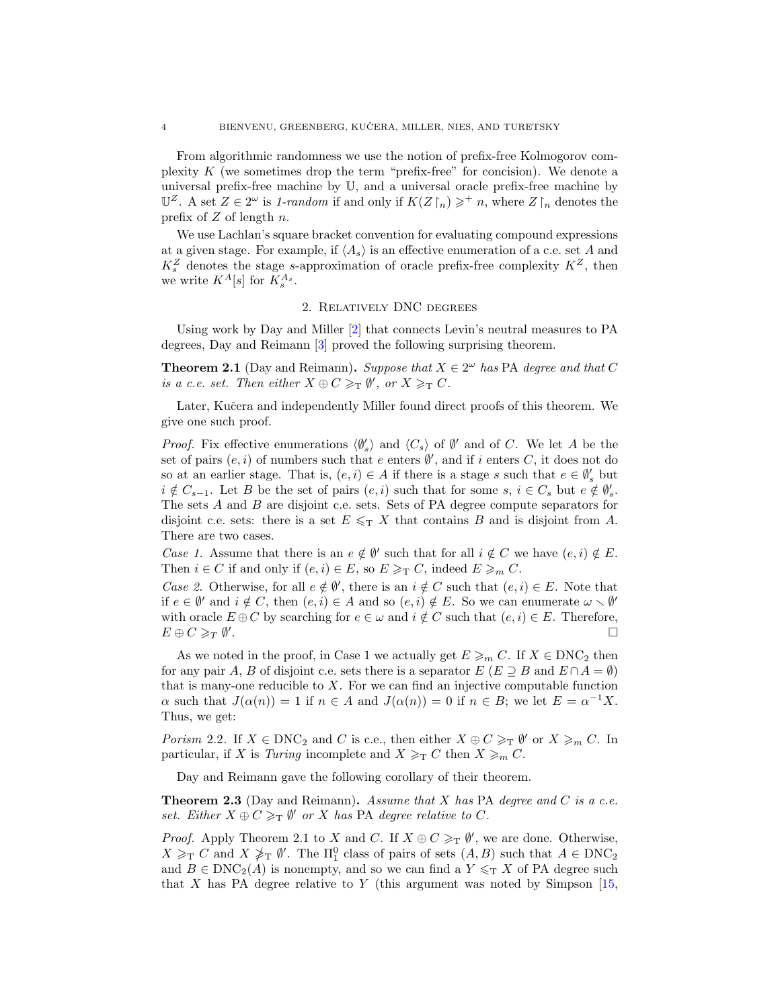<span id="page-3-3"></span>From algorithmic randomness we use the notion of prefix-free Kolmogorov complexity  $K$  (we sometimes drop the term "prefix-free" for concision). We denote a universal prefix-free machine by U, and a universal oracle prefix-free machine by  $\mathbb{U}^Z$ . A set  $Z \in 2^\omega$  is 1-random if and only if  $K(Z \restriction_n) \geq \dagger n$ , where  $Z \restriction_n$  denotes the prefix of  $Z$  of length  $n$ .

We use Lachlan's square bracket convention for evaluating compound expressions at a given stage. For example, if  $\langle A_s \rangle$  is an effective enumeration of a c.e. set A and  $K_s^Z$  denotes the stage s-approximation of oracle prefix-free complexity  $K^Z$ , then we write  $K^A[s]$  for  $K_s^{A_s}$ .

## 2. Relatively DNC degrees

<span id="page-3-2"></span>Using work by Day and Miller [\[2\]](#page-10-7) that connects Levin's neutral measures to PA degrees, Day and Reimann [\[3\]](#page-10-5) proved the following surprising theorem.

<span id="page-3-0"></span>**Theorem 2.1** (Day and Reimann). Suppose that  $X \in 2^{\omega}$  has PA degree and that C is a c.e. set. Then either  $X \oplus C \geq_T \emptyset'$ , or  $X \geq_T C$ .

Later, Kučera and independently Miller found direct proofs of this theorem. We give one such proof.

*Proof.* Fix effective enumerations  $\langle \emptyset'_s \rangle$  and  $\langle C_s \rangle$  of  $\emptyset'$  and of C. We let A be the set of pairs  $(e, i)$  of numbers such that e enters  $\emptyset'$ , and if i enters C, it does not do so at an earlier stage. That is,  $(e, i) \in A$  if there is a stage s such that  $e \in \emptyset_s$  but  $i \notin C_{s-1}$ . Let B be the set of pairs  $(e, i)$  such that for some  $s, i \in C_s$  but  $e \notin \emptyset'_{s}$ . The sets A and B are disjoint c.e. sets. Sets of PA degree compute separators for disjoint c.e. sets: there is a set  $E \leq T X$  that contains B and is disjoint from A. There are two cases.

Case 1. Assume that there is an  $e \notin \emptyset'$  such that for all  $i \notin C$  we have  $(e, i) \notin E$ . Then  $i \in C$  if and only if  $(e, i) \in E$ , so  $E \geq_T C$ , indeed  $E \geq_m C$ .

Case 2. Otherwise, for all  $e \notin \emptyset'$ , there is an  $i \notin C$  such that  $(e, i) \in E$ . Note that if  $e \in \emptyset'$  and  $i \notin C$ , then  $(e, i) \in A$  and so  $(e, i) \notin E$ . So we can enumerate  $\omega \setminus \emptyset'$ with oracle  $E \oplus C$  by searching for  $e \in \omega$  and  $i \notin C$  such that  $(e, i) \in E$ . Therefore,  $E \oplus C \geqslant_T \emptyset'$ .

As we noted in the proof, in Case 1 we actually get  $E \geqslant_m C$ . If  $X \in \text{DNC}_2$  then for any pair A, B of disjoint c.e. sets there is a separator  $E(E \supseteq B$  and  $E \cap A = \emptyset$ ) that is many-one reducible to  $X$ . For we can find an injective computable function  $\alpha$  such that  $J(\alpha(n)) = 1$  if  $n \in A$  and  $J(\alpha(n)) = 0$  if  $n \in B$ ; we let  $E = \alpha^{-1}X$ . Thus, we get:

Porism 2.2. If  $X \in \text{DNC}_2$  and C is c.e., then either  $X \oplus C \geq_T \emptyset'$  or  $X \geq_m C$ . In particular, if X is Turing incomplete and  $X \geq_T C$  then  $X \geq_m C$ .

Day and Reimann gave the following corollary of their theorem.

<span id="page-3-1"></span>**Theorem 2.3** (Day and Reimann). Assume that  $X$  has PA degree and  $C$  is a c.e. set. Either  $X \oplus C \geq_T \emptyset'$  or X has PA degree relative to C.

*Proof.* Apply Theorem [2.1](#page-3-0) to X and C. If  $X \oplus C \geq_T \emptyset'$ , we are done. Otherwise,  $X \geq_T C$  and  $X \not\geq_T \emptyset'$ . The  $\Pi_1^0$  class of pairs of sets  $(A, B)$  such that  $A \in \text{DNC}_2$ and  $B \in \text{DNC}_2(A)$  is nonempty, and so we can find a  $Y \leq_T X$  of PA degree such that X has PA degree relative to Y (this argument was noted by Simpson  $[15,$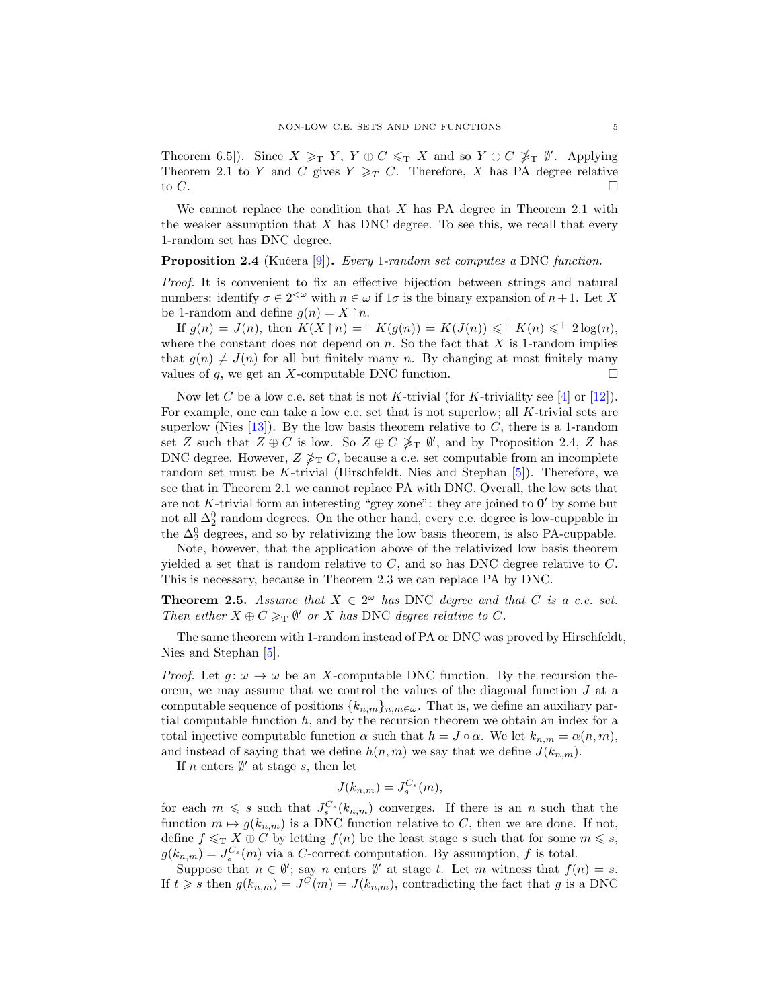<span id="page-4-2"></span>Theorem 6.5]). Since  $X \geq_T Y$ ,  $Y \oplus C \leq_T X$  and so  $Y \oplus C \not\geq_T \emptyset'$ . Applying Theorem [2.1](#page-3-0) to Y and C gives  $Y \geq_T C$ . Therefore, X has PA degree relative to  $C$ .

We cannot replace the condition that  $X$  has PA degree in Theorem [2.1](#page-3-0) with the weaker assumption that  $X$  has DNC degree. To see this, we recall that every 1-random set has DNC degree.

<span id="page-4-0"></span>**Proposition 2.4** (Kučera [\[9\]](#page-10-9)). Every 1-random set computes a DNC function.

Proof. It is convenient to fix an effective bijection between strings and natural numbers: identify  $\sigma \in 2^{<\omega}$  with  $n \in \omega$  if  $1\sigma$  is the binary expansion of  $n+1$ . Let X be 1-random and define  $g(n) = X \upharpoonright n$ .

If  $g(n) = J(n)$ , then  $K(X \upharpoonright n) = ^+ K(g(n)) = K(J(n)) \leq^+ K(n) \leq^+ 2 \log(n)$ , where the constant does not depend on  $n$ . So the fact that  $X$  is 1-random implies that  $q(n) \neq J(n)$  for all but finitely many n. By changing at most finitely many values of g, we get an X-computable DNC function.  $\square$ 

Now let C be a low c.e. set that is not K-trivial (for K-triviality see [\[4\]](#page-10-10) or [\[12\]](#page-10-11)). For example, one can take a low c.e. set that is not superlow; all  $K$ -trivial sets are superlow (Nies  $[13]$ ). By the low basis theorem relative to C, there is a 1-random set Z such that  $Z \oplus C$  is low. So  $Z \oplus C \not\geq_T \emptyset'$ , and by Proposition [2.4,](#page-4-0) Z has DNC degree. However,  $Z \nless_{\mathrm{T}} C$ , because a c.e. set computable from an incomplete random set must be K-trivial (Hirschfeldt, Nies and Stephan [\[5\]](#page-10-13)). Therefore, we see that in Theorem [2.1](#page-3-0) we cannot replace PA with DNC. Overall, the low sets that are not K-trivial form an interesting "grey zone": they are joined to  $0'$  by some but not all  $\Delta_2^0$  random degrees. On the other hand, every c.e. degree is low-cuppable in the  $\Delta_2^0$  degrees, and so by relativizing the low basis theorem, is also PA-cuppable.

Note, however, that the application above of the relativized low basis theorem yielded a set that is random relative to  $C$ , and so has DNC degree relative to  $C$ . This is necessary, because in Theorem [2.3](#page-3-1) we can replace PA by DNC.

<span id="page-4-1"></span>**Theorem 2.5.** Assume that  $X \in 2^{\omega}$  has DNC degree and that C is a c.e. set. Then either  $X \oplus C \geq_T \emptyset'$  or X has DNC degree relative to C.

The same theorem with 1-random instead of PA or DNC was proved by Hirschfeldt, Nies and Stephan [\[5\]](#page-10-13).

*Proof.* Let  $g: \omega \to \omega$  be an X-computable DNC function. By the recursion theorem, we may assume that we control the values of the diagonal function  $J$  at a computable sequence of positions  ${k_{n,m}}_{n,m\in\omega}$ . That is, we define an auxiliary partial computable function  $h$ , and by the recursion theorem we obtain an index for a total injective computable function  $\alpha$  such that  $h = J \circ \alpha$ . We let  $k_{n,m} = \alpha(n,m)$ , and instead of saying that we define  $h(n, m)$  we say that we define  $J(k_{n,m})$ .

If n enters  $\emptyset'$  at stage s, then let

$$
J(k_{n,m}) = J_s^{C_s}(m),
$$

for each  $m \leq s$  such that  $J_s^{C_s}(k_{n,m})$  converges. If there is an n such that the function  $m \mapsto g(k_{n,m})$  is a DNC function relative to C, then we are done. If not, define  $f \leq_T X \oplus C$  by letting  $f(n)$  be the least stage s such that for some  $m \leq s$ ,  $g(k_{n,m}) = J_s^{C_s}(m)$  via a C-correct computation. By assumption, f is total.

Suppose that  $n \in \emptyset'$ ; say n enters  $\emptyset'$  at stage t. Let m witness that  $f(n) = s$ . If  $t \geq s$  then  $g(k_{n,m}) = J^{C}(m) = J(k_{n,m})$ , contradicting the fact that g is a DNC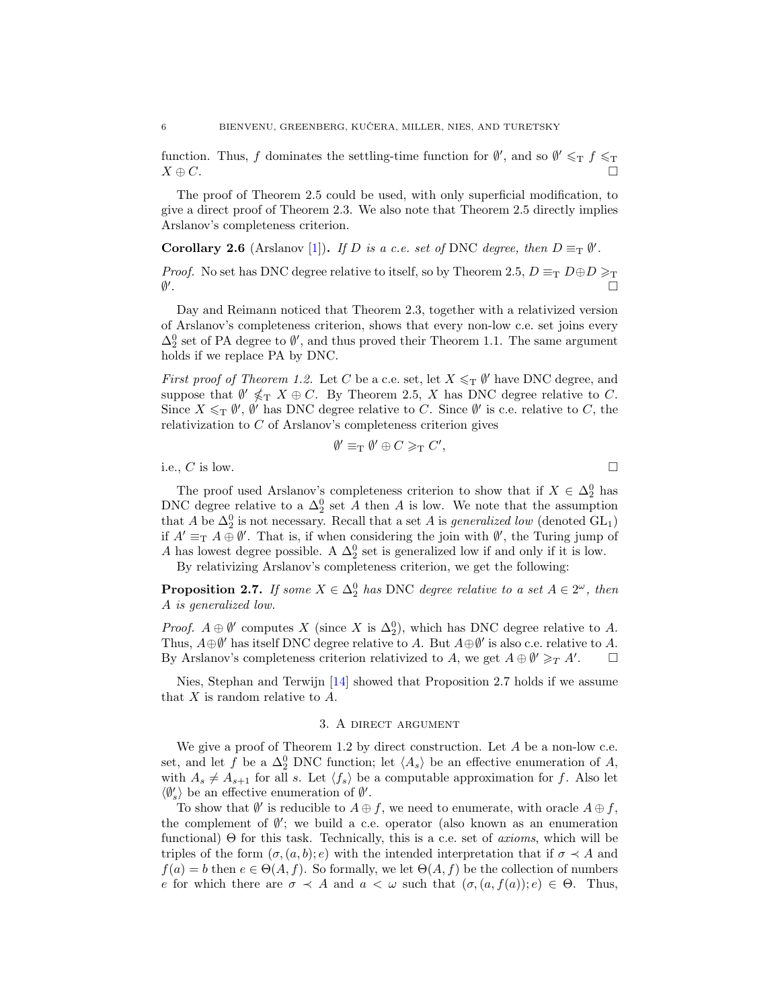<span id="page-5-2"></span>function. Thus, f dominates the settling-time function for  $\emptyset'$ , and so  $\emptyset' \leq_T f \leq_T$  $X \oplus C.$ 

The proof of Theorem [2.5](#page-4-1) could be used, with only superficial modification, to give a direct proof of Theorem [2.3.](#page-3-1) We also note that Theorem [2.5](#page-4-1) directly implies Arslanov's completeness criterion.

**Corollary 2.6** (Arslanov [\[1\]](#page-10-1)). If D is a c.e. set of DNC degree, then  $D \equiv_{\text{T}} \emptyset'$ .

*Proof.* No set has DNC degree relative to itself, so by Theorem [2.5,](#page-4-1)  $D \equiv_T D \oplus D \geq_T$  $\emptyset'$ .

Day and Reimann noticed that Theorem [2.3,](#page-3-1) together with a relativized version of Arslanov's completeness criterion, shows that every non-low c.e. set joins every  $\Delta_2^0$  set of PA degree to  $\emptyset'$ , and thus proved their Theorem [1.1.](#page-1-1) The same argument holds if we replace PA by DNC.

First proof of Theorem [1.2.](#page-1-0) Let C be a c.e. set, let  $X \leq_T \emptyset'$  have DNC degree, and suppose that  $\emptyset' \nleq T X \oplus C$ . By Theorem [2.5,](#page-4-1) X has DNC degree relative to C. Since  $X \leq_T \emptyset'$ ,  $\emptyset'$  has DNC degree relative to C. Since  $\emptyset'$  is c.e. relative to C, the relativization to C of Arslanov's completeness criterion gives

$$
\emptyset' \equiv_{\mathrm{T}} \emptyset' \oplus C \geqslant_{\mathrm{T}} C',
$$

i.e., C is low.

The proof used Arslanov's completeness criterion to show that if  $X \in \Delta_2^0$  has DNC degree relative to a  $\Delta_2^0$  set A then A is low. We note that the assumption that A be  $\Delta_2^0$  is not necessary. Recall that a set A is *generalized low* (denoted GL<sub>1</sub>) if  $A' \equiv_{\mathrm{T}} A \oplus \emptyset'$ . That is, if when considering the join with  $\emptyset'$ , the Turing jump of A has lowest degree possible. A  $\Delta_2^0$  set is generalized low if and only if it is low.

By relativizing Arslanov's completeness criterion, we get the following:

<span id="page-5-0"></span>**Proposition 2.7.** If some  $X \in \Delta_2^0$  has DNC degree relative to a set  $A \in 2^\omega$ , then A is generalized low.

*Proof.*  $A \oplus \emptyset'$  computes X (since X is  $\Delta_2^0$ ), which has DNC degree relative to A. Thus,  $A \oplus \emptyset'$  has itself DNC degree relative to A. But  $A \oplus \emptyset'$  is also c.e. relative to A. By Arslanov's completeness criterion relativized to A, we get  $A \oplus \emptyset' \geq_T A'$ .  $\Box$ 

Nies, Stephan and Terwijn [\[14\]](#page-10-14) showed that Proposition [2.7](#page-5-0) holds if we assume that  $X$  is random relative to  $A$ .

#### 3. A direct argument

<span id="page-5-1"></span>We give a proof of Theorem [1.2](#page-1-0) by direct construction. Let A be a non-low c.e. set, and let f be a  $\Delta_2^0$  DNC function; let  $\langle A_s \rangle$  be an effective enumeration of A, with  $A_s \neq A_{s+1}$  for all s. Let  $\langle f_s \rangle$  be a computable approximation for f. Also let  $\langle \emptyset_s' \rangle$  be an effective enumeration of  $\emptyset'.$ 

To show that  $\emptyset'$  is reducible to  $A \oplus f$ , we need to enumerate, with oracle  $A \oplus f$ , the complement of  $\emptyset'$ ; we build a c.e. operator (also known as an enumeration functional) Θ for this task. Technically, this is a c.e. set of *axioms*, which will be triples of the form  $(\sigma, (a, b); e)$  with the intended interpretation that if  $\sigma \prec A$  and  $f(a) = b$  then  $e \in \Theta(A, f)$ . So formally, we let  $\Theta(A, f)$  be the collection of numbers e for which there are  $\sigma \prec A$  and  $a \prec \omega$  such that  $(\sigma,(a,f(a));e) \in \Theta$ . Thus,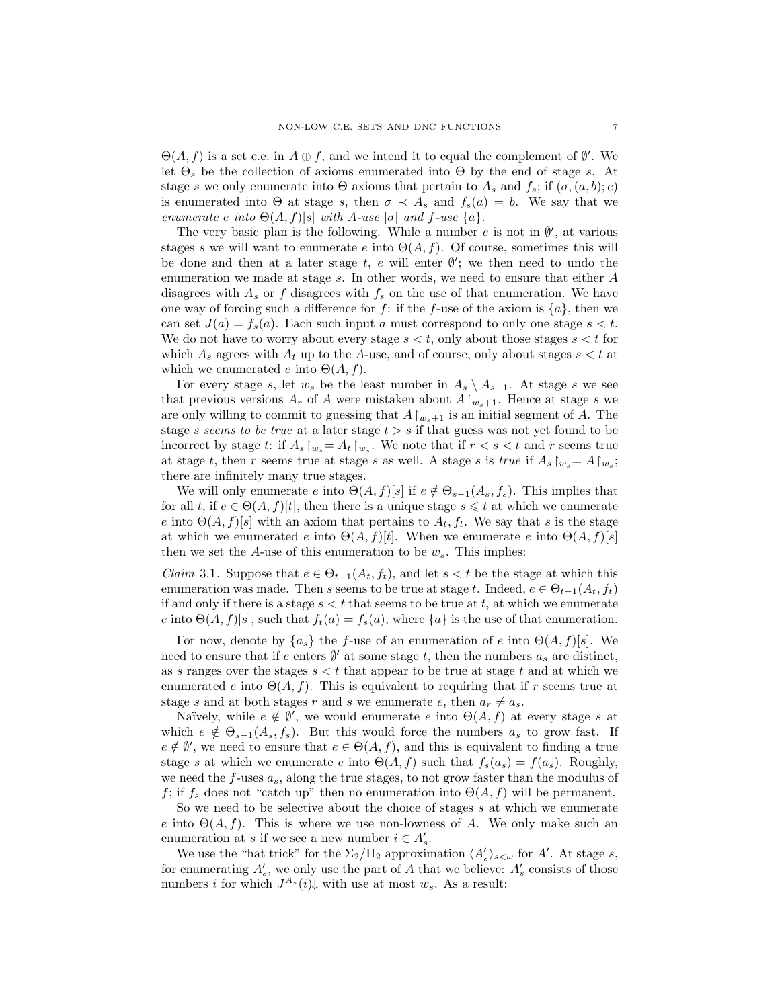$\Theta(A, f)$  is a set c.e. in  $A \oplus f$ , and we intend it to equal the complement of  $\emptyset'$ . We let  $\Theta_s$  be the collection of axioms enumerated into  $\Theta$  by the end of stage s. At stage s we only enumerate into  $\Theta$  axioms that pertain to  $A_s$  and  $f_s$ ; if  $(\sigma, (a, b); e)$ is enumerated into  $\Theta$  at stage s, then  $\sigma \prec A_s$  and  $f_s(a) = b$ . We say that we enumerate e into  $\Theta(A, f)[s]$  with A-use  $|\sigma|$  and f-use  $\{a\}$ .

The very basic plan is the following. While a number  $e$  is not in  $\emptyset'$ , at various stages s we will want to enumerate e into  $\Theta(A, f)$ . Of course, sometimes this will be done and then at a later stage  $t, e$  will enter  $\emptyset'$ ; we then need to undo the enumeration we made at stage s. In other words, we need to ensure that either A disagrees with  $A_s$  or f disagrees with  $f_s$  on the use of that enumeration. We have one way of forcing such a difference for f: if the f-use of the axiom is  $\{a\}$ , then we can set  $J(a) = f_s(a)$ . Each such input a must correspond to only one stage  $s < t$ . We do not have to worry about every stage  $s < t$ , only about those stages  $s < t$  for which  $A_s$  agrees with  $A_t$  up to the A-use, and of course, only about stages  $s < t$  at which we enumerated e into  $\Theta(A, f)$ .

For every stage s, let  $w_s$  be the least number in  $A_s \setminus A_{s-1}$ . At stage s we see that previous versions  $A_r$  of A were mistaken about  $A\upharpoonright_{w_s+1}$ . Hence at stage s we are only willing to commit to guessing that  $A\upharpoonright_{w_s+1}$  is an initial segment of A. The stage s seems to be true at a later stage  $t > s$  if that guess was not yet found to be incorrect by stage t: if  $A_s \upharpoonright_{w_s} = A_t \upharpoonright_{w_s}$ . We note that if  $r < s < t$  and r seems true at stage t, then r seems true at stage s as well. A stage s is true if  $A_s \upharpoonright_{w_s} = A \upharpoonright_{w_s}$ ; there are infinitely many true stages.

We will only enumerate e into  $\Theta(A, f)[s]$  if  $e \notin \Theta_{s-1}(A_s, f_s)$ . This implies that for all t, if  $e \in \Theta(A, f)|t|$ , then there is a unique stage  $s \leq t$  at which we enumerate e into  $\Theta(A, f)[s]$  with an axiom that pertains to  $A_t, f_t$ . We say that s is the stage at which we enumerated e into  $\Theta(A, f)[t]$ . When we enumerate e into  $\Theta(A, f)[s]$ then we set the A-use of this enumeration to be  $w_s$ . This implies:

<span id="page-6-0"></span>*Claim* 3.1. Suppose that  $e \in \Theta_{t-1}(A_t, f_t)$ , and let  $s < t$  be the stage at which this enumeration was made. Then s seems to be true at stage t. Indeed,  $e \in \Theta_{t-1}(A_t, f_t)$ if and only if there is a stage  $s < t$  that seems to be true at t, at which we enumerate e into  $\Theta(A, f)[s]$ , such that  $f_t(a) = f_s(a)$ , where  $\{a\}$  is the use of that enumeration.

For now, denote by  $\{a_s\}$  the f-use of an enumeration of e into  $\Theta(A, f)[s]$ . We need to ensure that if e enters  $\emptyset'$  at some stage t, then the numbers  $a_s$  are distinct, as s ranges over the stages  $s < t$  that appear to be true at stage t and at which we enumerated e into  $\Theta(A, f)$ . This is equivalent to requiring that if r seems true at stage s and at both stages r and s we enumerate e, then  $a_r \neq a_s$ .

Naïvely, while  $e \notin \emptyset'$ , we would enumerate e into  $\Theta(A, f)$  at every stage s at which  $e \notin \Theta_{s-1}(A_s, f_s)$ . But this would force the numbers  $a_s$  to grow fast. If  $e \notin \emptyset'$ , we need to ensure that  $e \in \Theta(A, f)$ , and this is equivalent to finding a true stage s at which we enumerate e into  $\Theta(A, f)$  such that  $f_s(a_s) = f(a_s)$ . Roughly, we need the  $f$ -uses  $a_s$ , along the true stages, to not grow faster than the modulus of f; if  $f_s$  does not "catch up" then no enumeration into  $\Theta(A, f)$  will be permanent.

So we need to be selective about the choice of stages  $s$  at which we enumerate e into  $\Theta(A, f)$ . This is where we use non-lowness of A. We only make such an enumeration at s if we see a new number  $i \in A'_s$ .

We use the "hat trick" for the  $\Sigma_2/\Pi_2$  approximation  $\langle A'_s \rangle_{s<\omega}$  for A'. At stage s, for enumerating  $A'_{s}$ , we only use the part of A that we believe:  $A'_{s}$  consists of those numbers *i* for which  $J^{A_s}(i)$  with use at most  $w_s$ . As a result: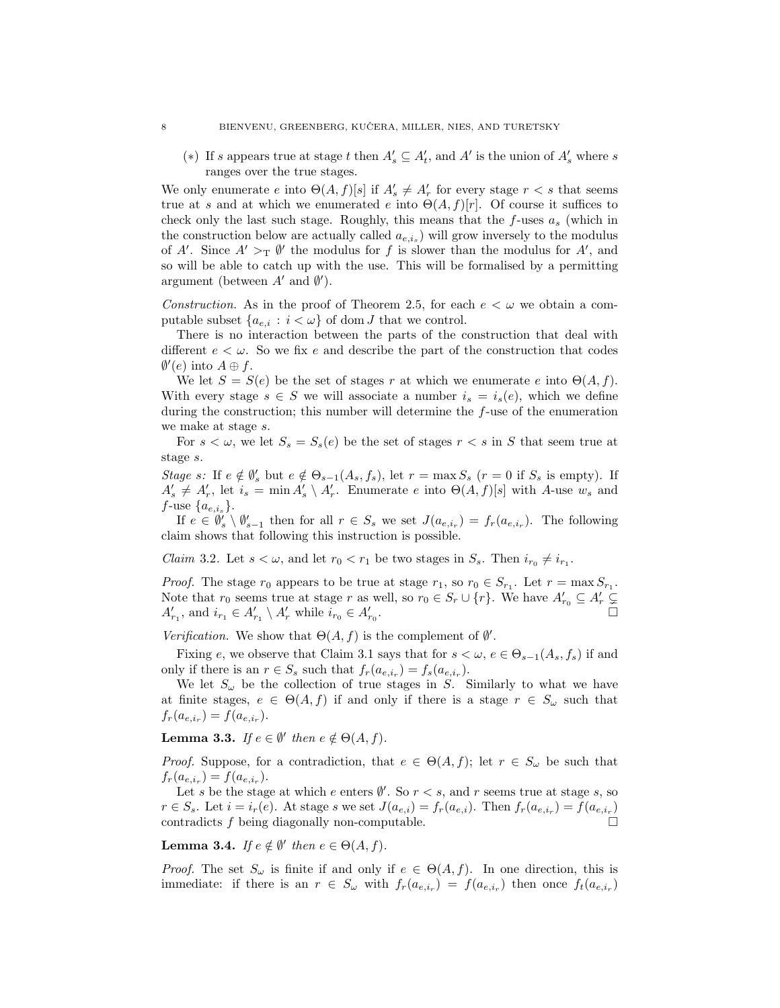(∗) If s appears true at stage t then  $A'_s \subseteq A'_t$ , and A' is the union of  $A'_s$  where s ranges over the true stages.

We only enumerate e into  $\Theta(A, f)[s]$  if  $A'_{s} \neq A'_{r}$  for every stage  $r < s$  that seems true at s and at which we enumerated e into  $\Theta(A, f)[r]$ . Of course it suffices to check only the last such stage. Roughly, this means that the  $f$ -uses  $a_s$  (which in the construction below are actually called  $a_{e,i_s}$ ) will grow inversely to the modulus of A'. Since  $A' >_{\text{T}} \emptyset'$  the modulus for f is slower than the modulus for A', and so will be able to catch up with the use. This will be formalised by a permitting argument (between  $A'$  and  $\emptyset'$ ).

*Construction.* As in the proof of Theorem [2.5,](#page-4-1) for each  $e < \omega$  we obtain a computable subset  $\{a_{e,i} : i < \omega\}$  of dom J that we control.

There is no interaction between the parts of the construction that deal with different  $e < \omega$ . So we fix e and describe the part of the construction that codes  $\emptyset'(e)$  into  $A \oplus f$ .

We let  $S = S(e)$  be the set of stages r at which we enumerate e into  $\Theta(A, f)$ . With every stage  $s \in S$  we will associate a number  $i_s = i_s(e)$ , which we define during the construction; this number will determine the f-use of the enumeration we make at stage s.

For  $s < \omega$ , we let  $S_s = S_s(e)$  be the set of stages  $r < s$  in S that seem true at stage s.

Stage s: If  $e \notin \emptyset_s'$  but  $e \notin \Theta_{s-1}(A_s, f_s)$ , let  $r = \max S_s$   $(r = 0$  if  $S_s$  is empty). If  $A'_s \neq A'_r$ , let  $i_s = \min A'_s \setminus A'_r$ . Enumerate e into  $\Theta(A, f)[s]$  with A-use  $w_s$  and  $f$ -use  $\{a_{e,i_s}\}.$ 

If  $e \in \mathcal{V}'_s \setminus \mathcal{V}'_{s-1}$  then for all  $r \in S_s$  we set  $J(a_{e,i_r}) = f_r(a_{e,i_r})$ . The following claim shows that following this instruction is possible.

*Claim* 3.2. Let  $s < \omega$ , and let  $r_0 < r_1$  be two stages in  $S_s$ . Then  $i_{r_0} \neq i_{r_1}$ .

*Proof.* The stage  $r_0$  appears to be true at stage  $r_1$ , so  $r_0 \in S_{r_1}$ . Let  $r = \max S_{r_1}$ . Note that  $r_0$  seems true at stage r as well, so  $r_0 \in S_r \cup \{r\}$ . We have  $A'_{r_0} \subseteq A'_r \subsetneq$  $A'_{r_1}$ , and  $i_{r_1} \in A'_{r_1} \setminus A'_r$  while  $i_{r_0} \in A'_{r_0}$ .

Verification. We show that  $\Theta(A, f)$  is the complement of  $\emptyset'$ .

Fixing e, we observe that Claim [3.1](#page-6-0) says that for  $s < \omega, e \in \Theta_{s-1}(A_s, f_s)$  if and only if there is an  $r \in S_s$  such that  $f_r(a_{e,i_r}) = f_s(a_{e,i_r}).$ 

We let  $S_{\omega}$  be the collection of true stages in S. Similarly to what we have at finite stages,  $e \in \Theta(A, f)$  if and only if there is a stage  $r \in S_\omega$  such that  $f_r(a_{e,i_r}) = f(a_{e,i_r}).$ 

**Lemma 3.3.** If  $e \in \emptyset'$  then  $e \notin \Theta(A, f)$ .

*Proof.* Suppose, for a contradiction, that  $e \in \Theta(A, f)$ ; let  $r \in S_{\omega}$  be such that  $f_r(a_{e,i_r}) = f(a_{e,i_r}).$ 

Let s be the stage at which e enters  $\emptyset'$ . So  $r < s$ , and r seems true at stage s, so  $r \in S_s$ . Let  $i = i_r(e)$ . At stage s we set  $J(a_{e,i}) = f_r(a_{e,i})$ . Then  $f_r(a_{e,i_r}) = f(a_{e,i_r})$ contradicts f being diagonally non-computable.

**Lemma 3.4.** If  $e \notin \emptyset'$  then  $e \in \Theta(A, f)$ .

*Proof.* The set  $S_{\omega}$  is finite if and only if  $e \in \Theta(A, f)$ . In one direction, this is immediate: if there is an  $r \in S_\omega$  with  $f_r(a_{e,i_r}) = f(a_{e,i_r})$  then once  $f_t(a_{e,i_r})$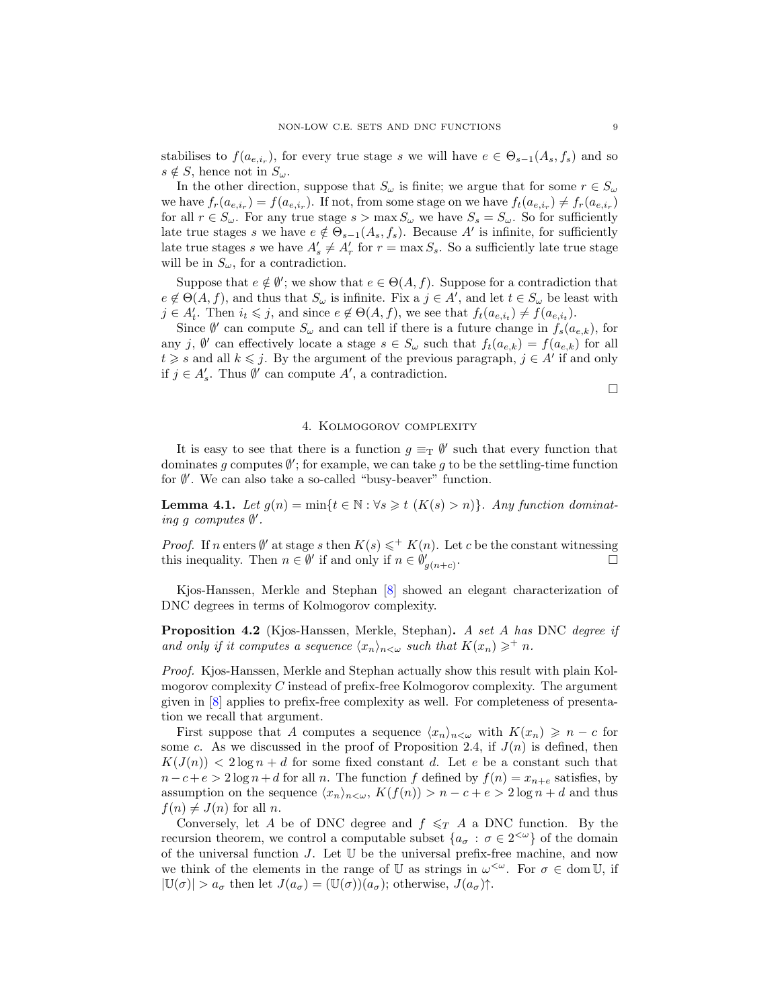<span id="page-8-2"></span>stabilises to  $f(a_{e,i_r})$ , for every true stage s we will have  $e \in \Theta_{s-1}(A_s, f_s)$  and so  $s \notin S$ , hence not in  $S_{\omega}$ .

In the other direction, suppose that  $S_{\omega}$  is finite; we argue that for some  $r \in S_{\omega}$ we have  $f_r(a_{e,i_r}) = f(a_{e,i_r})$ . If not, from some stage on we have  $f_t(a_{e,i_r}) \neq f_r(a_{e,i_r})$ for all  $r \in S_\omega$ . For any true stage  $s > \max S_\omega$  we have  $S_s = S_\omega$ . So for sufficiently late true stages s we have  $e \notin \Theta_{s-1}(A_s, f_s)$ . Because A' is infinite, for sufficiently late true stages s we have  $A'_s \neq A'_r$  for  $r = \max S_s$ . So a sufficiently late true stage will be in  $S_{\omega}$ , for a contradiction.

Suppose that  $e \notin \emptyset'$ ; we show that  $e \in \Theta(A, f)$ . Suppose for a contradiction that  $e \notin \Theta(A, f)$ , and thus that  $S_{\omega}$  is infinite. Fix a  $j \in A'$ , and let  $t \in S_{\omega}$  be least with  $j \in A_t^j$ . Then  $i_t \leq j$ , and since  $e \notin \Theta(A, f)$ , we see that  $f_t(a_{e,i_t}) \neq f(a_{e,i_t})$ .

Since  $\emptyset'$  can compute  $S_{\omega}$  and can tell if there is a future change in  $f_s(a_{e,k})$ , for any j,  $\emptyset'$  can effectively locate a stage  $s \in S_\omega$  such that  $f_t(a_{e,k}) = f(a_{e,k})$  for all  $t \geq s$  and all  $k \leq j$ . By the argument of the previous paragraph,  $j \in A'$  if and only if  $j \in A'_s$ . Thus  $\emptyset'$  can compute  $A'$ , a contradiction.

 $\Box$ 

## 4. Kolmogorov complexity

It is easy to see that there is a function  $g \equiv_{\mathrm{T}} \emptyset'$  such that every function that dominates g computes  $\emptyset'$ ; for example, we can take g to be the settling-time function for ∅ 0 . We can also take a so-called "busy-beaver" function.

<span id="page-8-1"></span>Lemma 4.1. Let  $g(n) = \min\{t \in \mathbb{N} : \forall s \geq t \ (K(s) > n)\}\)$ . Any function dominating g computes  $\emptyset'$ .

*Proof.* If n enters  $\emptyset'$  at stage s then  $K(s) \leqslant^+ K(n)$ . Let c be the constant witnessing this inequality. Then  $n \in \emptyset'$  if and only if  $n \in \emptyset'_{g(n+c)}$ . — Первый процесс в последник с процесс в последник с продавать в серверности с продавать не продавать не про<br>В серверности с продавать не продавать не продавать не продавать не продавать не продавать не продавать не про

Kjos-Hanssen, Merkle and Stephan [\[8\]](#page-10-15) showed an elegant characterization of DNC degrees in terms of Kolmogorov complexity.

<span id="page-8-0"></span>Proposition 4.2 (Kjos-Hanssen, Merkle, Stephan). A set A has DNC degree if and only if it computes a sequence  $\langle x_n \rangle_{n \leq \omega}$  such that  $K(x_n) \geq^+ n$ .

Proof. Kjos-Hanssen, Merkle and Stephan actually show this result with plain Kolmogorov complexity  $C$  instead of prefix-free Kolmogorov complexity. The argument given in [\[8\]](#page-10-15) applies to prefix-free complexity as well. For completeness of presentation we recall that argument.

First suppose that A computes a sequence  $\langle x_n \rangle_{n \leq \omega}$  with  $K(x_n) \geq n - c$  for some c. As we discussed in the proof of Proposition [2.4,](#page-4-0) if  $J(n)$  is defined, then  $K(J(n)) < 2 \log n + d$  for some fixed constant d. Let e be a constant such that  $n-c+e > 2 \log n+d$  for all n. The function f defined by  $f(n) = x_{n+e}$  satisfies, by assumption on the sequence  $\langle x_n \rangle_{n \leq \omega}$ ,  $K(f(n)) > n - c + e > 2 \log n + d$  and thus  $f(n) \neq J(n)$  for all n.

Conversely, let A be of DNC degree and  $f \leq T A$  a DNC function. By the recursion theorem, we control a computable subset  $\{a_{\sigma} : \sigma \in 2^{&\omega}\}\$  of the domain of the universal function  $J$ . Let  $\mathbb U$  be the universal prefix-free machine, and now we think of the elements in the range of U as strings in  $\omega^{\langle \omega \rangle}$ . For  $\sigma \in \text{dom}\, \mathbb{U}$ , if  $|\mathbb{U}(\sigma)| > a_{\sigma}$  then let  $J(a_{\sigma}) = (\mathbb{U}(\sigma))(a_{\sigma})$ ; otherwise,  $J(a_{\sigma})\uparrow$ .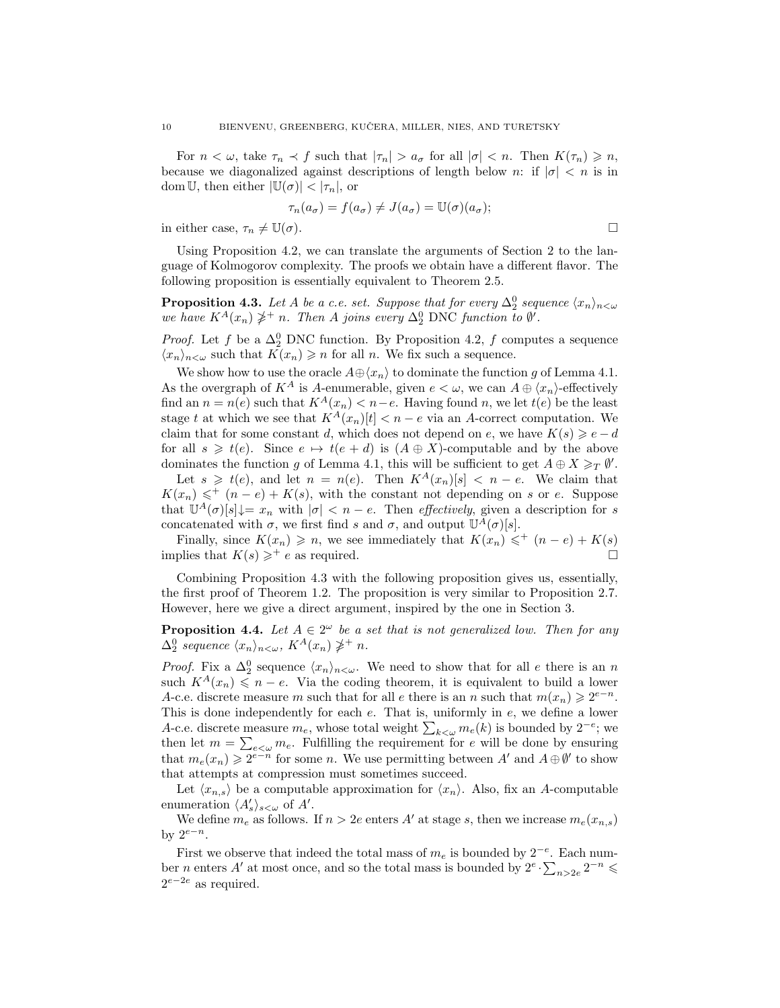For  $n < \omega$ , take  $\tau_n < f$  such that  $|\tau_n| > a_{\sigma}$  for all  $|\sigma| < n$ . Then  $K(\tau_n) \geq n$ , because we diagonalized against descriptions of length below n: if  $|\sigma| < n$  is in dom U, then either  $|\mathbb{U}(\sigma)| < |\tau_n|$ , or

$$
\tau_n(a_{\sigma}) = f(a_{\sigma}) \neq J(a_{\sigma}) = \mathbb{U}(\sigma)(a_{\sigma});
$$

in either case,  $\tau_n \neq \mathbb{U}(\sigma)$ .

Using Proposition [4.2,](#page-8-0) we can translate the arguments of Section [2](#page-3-2) to the language of Kolmogorov complexity. The proofs we obtain have a different flavor. The following proposition is essentially equivalent to Theorem [2.5.](#page-4-1)

<span id="page-9-0"></span>**Proposition 4.3.** Let A be a c.e. set. Suppose that for every  $\Delta_2^0$  sequence  $\langle x_n \rangle_{n < \omega}$ we have  $K^A(x_n) \ngeq^+ n$ . Then A joins every  $\Delta_2^0$  DNC function to  $\emptyset$ .

*Proof.* Let f be a  $\Delta_2^0$  DNC function. By Proposition [4.2,](#page-8-0) f computes a sequence  $\langle x_n \rangle_{n \leq \omega}$  such that  $K(x_n) \geq n$  for all n. We fix such a sequence.

We show how to use the oracle  $A \oplus \langle x_n \rangle$  to dominate the function g of Lemma [4.1.](#page-8-1) As the overgraph of  $K^A$  is A-enumerable, given  $e < \omega$ , we can  $A \oplus \langle x_n \rangle$ -effectively find an  $n = n(e)$  such that  $K^A(x_n) < n-e$ . Having found n, we let  $t(e)$  be the least stage t at which we see that  $K^A(x_n)[t] < n - e$  via an A-correct computation. We claim that for some constant d, which does not depend on e, we have  $K(s) \geqslant e - d$ for all  $s \geq t(e)$ . Since  $e \mapsto t(e + d)$  is  $(A \oplus X)$ -computable and by the above dominates the function g of Lemma [4.1,](#page-8-1) this will be sufficient to get  $A \oplus X \geq_T \emptyset'$ .

Let  $s \geq t(e)$ , and let  $n = n(e)$ . Then  $K^A(x_n)[s] < n - e$ . We claim that  $K(x_n) \leqslant^+ (n-e) + K(s)$ , with the constant not depending on s or e. Suppose that  $\mathbb{U}^A(\sigma)[s] \downarrow = x_n$  with  $|\sigma| < n - e$ . Then *effectively*, given a description for s concatenated with  $\sigma$ , we first find s and  $\sigma$ , and output  $\mathbb{U}^{\tilde{A}}(\sigma)[s]$ .

Finally, since  $K(x_n) \geq n$ , we see immediately that  $K(x_n) \leq \frac{m}{2}$   $(n-e) + K(s)$ implies that  $K(s) \geq^+ e$  as required.

Combining Proposition [4.3](#page-9-0) with the following proposition gives us, essentially, the first proof of Theorem [1.2.](#page-1-0) The proposition is very similar to Proposition [2.7.](#page-5-0) However, here we give a direct argument, inspired by the one in Section [3.](#page-5-1)

**Proposition 4.4.** Let  $A \in 2^{\omega}$  be a set that is not generalized low. Then for any  $\Delta_2^0$  sequence  $\langle x_n \rangle_{n<\omega}$ ,  $K^A(x_n) \ngeq^+ n$ .

*Proof.* Fix a  $\Delta_2^0$  sequence  $\langle x_n \rangle_{n \leq \omega}$ . We need to show that for all e there is an n such  $K^A(x_n) \leq n - e$ . Via the coding theorem, it is equivalent to build a lower A-c.e. discrete measure m such that for all e there is an n such that  $m(x_n) \geq 2^{e-n}$ . This is done independently for each  $e$ . That is, uniformly in  $e$ , we define a lower A-c.e. discrete measure  $m_e$ , whose total weight  $\sum_{k\leq \omega} m_e(k)$  is bounded by  $2^{-e}$ ; we then let  $m = \sum_{e < \omega} m_e$ . Fulfilling the requirement for e will be done by ensuring that  $m_e(x_n) \geq 2^{e-n}$  for some n. We use permitting between A' and  $A \oplus \emptyset'$  to show that attempts at compression must sometimes succeed.

Let  $\langle x_{n,s} \rangle$  be a computable approximation for  $\langle x_n \rangle$ . Also, fix an A-computable enumeration  $\langle A'_s \rangle_{s<\omega}$  of A'.

We define  $m_e$  as follows. If  $n > 2e$  enters A' at stage s, then we increase  $m_e(x_{n,s})$ by  $2^{e-n}$ .

First we observe that indeed the total mass of  $m_e$  is bounded by  $2^{-e}$ . Each number *n* enters A' at most once, and so the total mass is bounded by  $2^e \cdot \sum_{n>2e} 2^{-n} \leq$  $2^{e-2e}$  as required.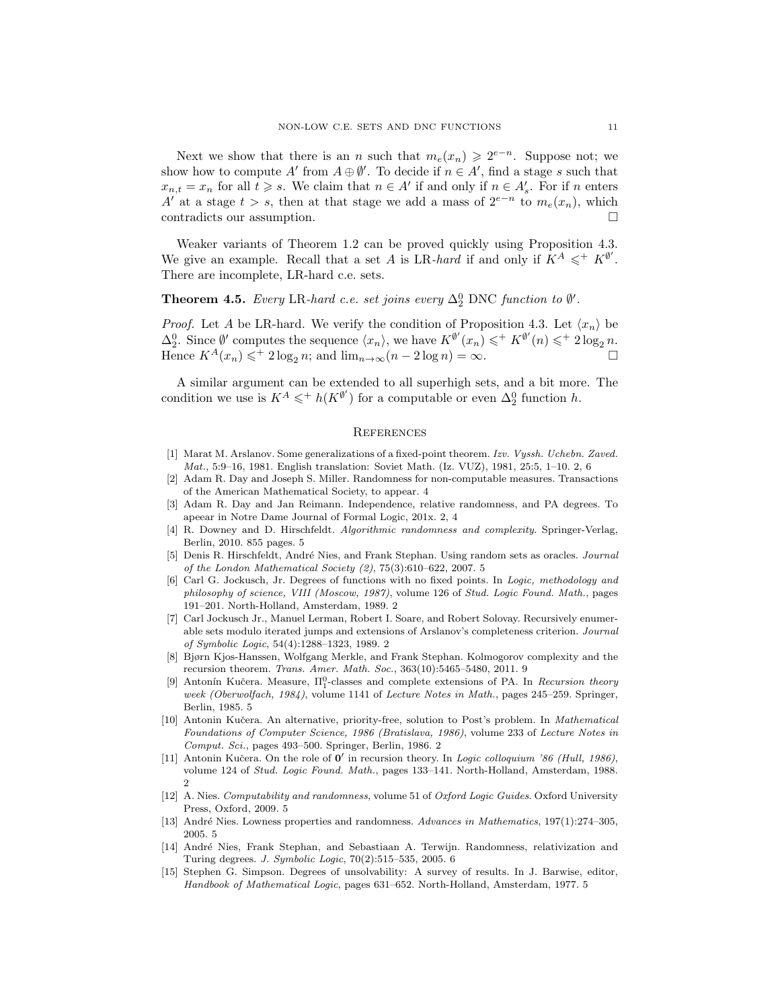Next we show that there is an n such that  $m_e(x_n) \geq 2^{e-n}$ . Suppose not; we show how to compute A' from  $A \oplus \emptyset'$ . To decide if  $n \in A'$ , find a stage s such that  $x_{n,t} = x_n$  for all  $t \geqslant s$ . We claim that  $n \in A'$  if and only if  $n \in A'_{s}$ . For if n enters A' at a stage  $t > s$ , then at that stage we add a mass of  $2^{e-n}$  to  $m_e(x_n)$ , which contradicts our assumption.

Weaker variants of Theorem [1.2](#page-1-0) can be proved quickly using Proposition [4.3.](#page-9-0) We give an example. Recall that a set A is LR-hard if and only if  $K^A \leqslant^+ K^{\emptyset'}$ . There are incomplete, LR-hard c.e. sets.

# <span id="page-10-6"></span>**Theorem 4.5.** Every LR-hard c.e. set joins every  $\Delta_2^0$  DNC function to  $\emptyset'$ .

*Proof.* Let A be LR-hard. We verify the condition of Proposition [4.3.](#page-9-0) Let  $\langle x_n \rangle$  be  $\Delta_2^0$ . Since  $\emptyset'$  computes the sequence  $\langle x_n \rangle$ , we have  $K^{\emptyset'}(x_n) \leqslant^+ K^{\emptyset'}(n) \leqslant^+ 2 \log_2 n$ . Hence  $K^A(x_n) \leqslant^+ 2 \log_2 n$ ; and  $\lim_{n \to \infty} (n - 2 \log n) = \infty$ .

A similar argument can be extended to all superhigh sets, and a bit more. The condition we use is  $K^A \leqslant^+ h(K^{\emptyset'})$  for a computable or even  $\Delta_2^0$  function h.

### **REFERENCES**

- <span id="page-10-1"></span>[1] Marat M. Arslanov. Some generalizations of a fixed-point theorem. Izv. Vyssh. Uchebn. Zaved. Mat., 5:9–16, 1981. English translation: Soviet Math. (Iz. VUZ), 1981, 25:5, 1–10. [2,](#page-1-2) [6](#page-5-2)
- <span id="page-10-7"></span>[2] Adam R. Day and Joseph S. Miller. Randomness for non-computable measures. Transactions of the American Mathematical Society, to appear. [4](#page-3-3)
- <span id="page-10-5"></span>[3] Adam R. Day and Jan Reimann. Independence, relative randomness, and PA degrees. To apeear in Notre Dame Journal of Formal Logic, 201x. [2,](#page-1-2) [4](#page-3-3)
- <span id="page-10-10"></span>[4] R. Downey and D. Hirschfeldt. Algorithmic randomness and complexity. Springer-Verlag, Berlin, 2010. 855 pages. [5](#page-4-2)
- <span id="page-10-13"></span>[5] Denis R. Hirschfeldt, André Nies, and Frank Stephan. Using random sets as oracles. Journal of the London Mathematical Society (2), 75(3):610–622, 2007. [5](#page-4-2)
- <span id="page-10-0"></span>[6] Carl G. Jockusch, Jr. Degrees of functions with no fixed points. In Logic, methodology and philosophy of science, VIII (Moscow, 1987), volume 126 of Stud. Logic Found. Math., pages 191–201. North-Holland, Amsterdam, 1989. [2](#page-1-2)
- <span id="page-10-2"></span>[7] Carl Jockusch Jr., Manuel Lerman, Robert I. Soare, and Robert Solovay. Recursively enumerable sets modulo iterated jumps and extensions of Arslanov's completeness criterion. Journal of Symbolic Logic, 54(4):1288–1323, 1989. [2](#page-1-2)
- <span id="page-10-15"></span>[8] Bjørn Kjos-Hanssen, Wolfgang Merkle, and Frank Stephan. Kolmogorov complexity and the recursion theorem. Trans. Amer. Math. Soc., 363(10):5465–5480, 2011. [9](#page-8-2)
- <span id="page-10-9"></span>[9] Antonín Kučera. Measure,  $\Pi_1^0$ -classes and complete extensions of PA. In Recursion theory week (Oberwolfach, 1984), volume 1141 of Lecture Notes in Math., pages 245–259. Springer, Berlin, 1985. [5](#page-4-2)
- <span id="page-10-3"></span>[10] Antonin Kučera. An alternative, priority-free, solution to Post's problem. In Mathematical Foundations of Computer Science, 1986 (Bratislava, 1986), volume 233 of Lecture Notes in Comput. Sci., pages 493–500. Springer, Berlin, 1986. [2](#page-1-2)
- <span id="page-10-4"></span>[11] Antonin Kučera. On the role of  $0'$  in recursion theory. In Logic colloquium '86 (Hull, 1986), volume 124 of Stud. Logic Found. Math., pages 133–141. North-Holland, Amsterdam, 1988. [2](#page-1-2)
- <span id="page-10-11"></span>[12] A. Nies. Computability and randomness, volume 51 of Oxford Logic Guides. Oxford University Press, Oxford, 2009. [5](#page-4-2)
- <span id="page-10-12"></span>[13] André Nies. Lowness properties and randomness. Advances in Mathematics, 197(1):274–305, 2005. [5](#page-4-2)
- <span id="page-10-14"></span>[14] Andr´e Nies, Frank Stephan, and Sebastiaan A. Terwijn. Randomness, relativization and Turing degrees. J. Symbolic Logic, 70(2):515–535, 2005. [6](#page-5-2)
- <span id="page-10-8"></span>[15] Stephen G. Simpson. Degrees of unsolvability: A survey of results. In J. Barwise, editor, Handbook of Mathematical Logic, pages 631–652. North-Holland, Amsterdam, 1977. [5](#page-4-2)